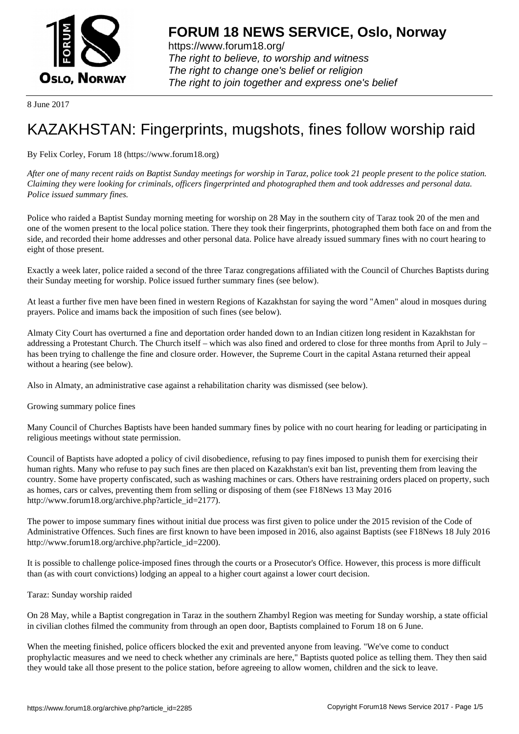

https://www.forum18.org/ The right to believe, to worship and witness The right to change one's belief or religion [The right to join together a](https://www.forum18.org/)nd express one's belief

8 June 2017

## [KAZAKHSTAN:](https://www.forum18.org) Fingerprints, mugshots, fines follow worship raid

By Felix Corley, Forum 18 (https://www.forum18.org)

*After one of many recent raids on Baptist Sunday meetings for worship in Taraz, police took 21 people present to the police station. Claiming they were looking for criminals, officers fingerprinted and photographed them and took addresses and personal data. Police issued summary fines.*

Police who raided a Baptist Sunday morning meeting for worship on 28 May in the southern city of Taraz took 20 of the men and one of the women present to the local police station. There they took their fingerprints, photographed them both face on and from the side, and recorded their home addresses and other personal data. Police have already issued summary fines with no court hearing to eight of those present.

Exactly a week later, police raided a second of the three Taraz congregations affiliated with the Council of Churches Baptists during their Sunday meeting for worship. Police issued further summary fines (see below).

At least a further five men have been fined in western Regions of Kazakhstan for saying the word "Amen" aloud in mosques during prayers. Police and imams back the imposition of such fines (see below).

Almaty City Court has overturned a fine and deportation order handed down to an Indian citizen long resident in Kazakhstan for addressing a Protestant Church. The Church itself – which was also fined and ordered to close for three months from April to July – has been trying to challenge the fine and closure order. However, the Supreme Court in the capital Astana returned their appeal without a hearing (see below).

Also in Almaty, an administrative case against a rehabilitation charity was dismissed (see below).

Growing summary police fines

Many Council of Churches Baptists have been handed summary fines by police with no court hearing for leading or participating in religious meetings without state permission.

Council of Baptists have adopted a policy of civil disobedience, refusing to pay fines imposed to punish them for exercising their human rights. Many who refuse to pay such fines are then placed on Kazakhstan's exit ban list, preventing them from leaving the country. Some have property confiscated, such as washing machines or cars. Others have restraining orders placed on property, such as homes, cars or calves, preventing them from selling or disposing of them (see F18News 13 May 2016 http://www.forum18.org/archive.php?article\_id=2177).

The power to impose summary fines without initial due process was first given to police under the 2015 revision of the Code of Administrative Offences. Such fines are first known to have been imposed in 2016, also against Baptists (see F18News 18 July 2016 http://www.forum18.org/archive.php?article\_id=2200).

It is possible to challenge police-imposed fines through the courts or a Prosecutor's Office. However, this process is more difficult than (as with court convictions) lodging an appeal to a higher court against a lower court decision.

Taraz: Sunday worship raided

On 28 May, while a Baptist congregation in Taraz in the southern Zhambyl Region was meeting for Sunday worship, a state official in civilian clothes filmed the community from through an open door, Baptists complained to Forum 18 on 6 June.

When the meeting finished, police officers blocked the exit and prevented anyone from leaving. "We've come to conduct prophylactic measures and we need to check whether any criminals are here," Baptists quoted police as telling them. They then said they would take all those present to the police station, before agreeing to allow women, children and the sick to leave.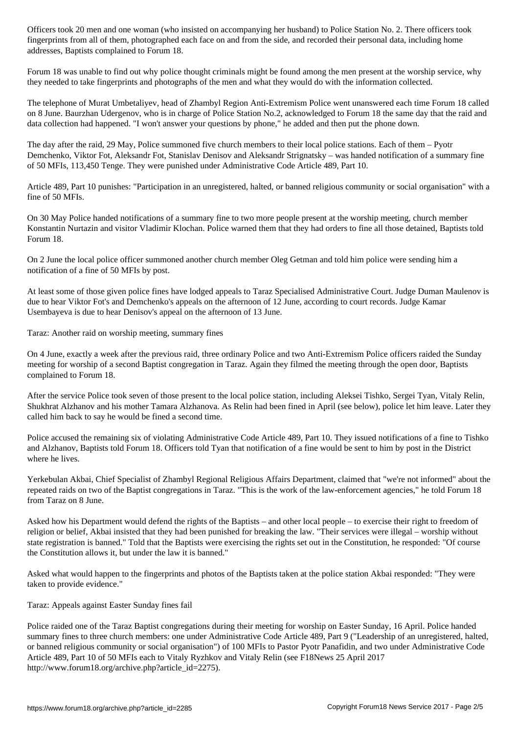fingerprints from all of them, photographed each face on and from the side, and recorded their personal data, including home addresses, Baptists complained to Forum 18.

Forum 18 was unable to find out why police thought criminals might be found among the men present at the worship service, why they needed to take fingerprints and photographs of the men and what they would do with the information collected.

The telephone of Murat Umbetaliyev, head of Zhambyl Region Anti-Extremism Police went unanswered each time Forum 18 called on 8 June. Baurzhan Udergenov, who is in charge of Police Station No.2, acknowledged to Forum 18 the same day that the raid and data collection had happened. "I won't answer your questions by phone," he added and then put the phone down.

The day after the raid, 29 May, Police summoned five church members to their local police stations. Each of them – Pyotr Demchenko, Viktor Fot, Aleksandr Fot, Stanislav Denisov and Aleksandr Strignatsky – was handed notification of a summary fine of 50 MFIs, 113,450 Tenge. They were punished under Administrative Code Article 489, Part 10.

Article 489, Part 10 punishes: "Participation in an unregistered, halted, or banned religious community or social organisation" with a fine of 50 MFIs.

On 30 May Police handed notifications of a summary fine to two more people present at the worship meeting, church member Konstantin Nurtazin and visitor Vladimir Klochan. Police warned them that they had orders to fine all those detained, Baptists told Forum 18.

On 2 June the local police officer summoned another church member Oleg Getman and told him police were sending him a notification of a fine of 50 MFIs by post.

At least some of those given police fines have lodged appeals to Taraz Specialised Administrative Court. Judge Duman Maulenov is due to hear Viktor Fot's and Demchenko's appeals on the afternoon of 12 June, according to court records. Judge Kamar Usembayeva is due to hear Denisov's appeal on the afternoon of 13 June.

Taraz: Another raid on worship meeting, summary fines

On 4 June, exactly a week after the previous raid, three ordinary Police and two Anti-Extremism Police officers raided the Sunday meeting for worship of a second Baptist congregation in Taraz. Again they filmed the meeting through the open door, Baptists complained to Forum 18.

After the service Police took seven of those present to the local police station, including Aleksei Tishko, Sergei Tyan, Vitaly Relin, Shukhrat Alzhanov and his mother Tamara Alzhanova. As Relin had been fined in April (see below), police let him leave. Later they called him back to say he would be fined a second time.

Police accused the remaining six of violating Administrative Code Article 489, Part 10. They issued notifications of a fine to Tishko and Alzhanov, Baptists told Forum 18. Officers told Tyan that notification of a fine would be sent to him by post in the District where he lives.

Yerkebulan Akbai, Chief Specialist of Zhambyl Regional Religious Affairs Department, claimed that "we're not informed" about the repeated raids on two of the Baptist congregations in Taraz. "This is the work of the law-enforcement agencies," he told Forum 18 from Taraz on 8 June.

Asked how his Department would defend the rights of the Baptists – and other local people – to exercise their right to freedom of religion or belief, Akbai insisted that they had been punished for breaking the law. "Their services were illegal – worship without state registration is banned." Told that the Baptists were exercising the rights set out in the Constitution, he responded: "Of course the Constitution allows it, but under the law it is banned."

Asked what would happen to the fingerprints and photos of the Baptists taken at the police station Akbai responded: "They were taken to provide evidence."

Taraz: Appeals against Easter Sunday fines fail

Police raided one of the Taraz Baptist congregations during their meeting for worship on Easter Sunday, 16 April. Police handed summary fines to three church members: one under Administrative Code Article 489, Part 9 ("Leadership of an unregistered, halted, or banned religious community or social organisation") of 100 MFIs to Pastor Pyotr Panafidin, and two under Administrative Code Article 489, Part 10 of 50 MFIs each to Vitaly Ryzhkov and Vitaly Relin (see F18News 25 April 2017 http://www.forum18.org/archive.php?article\_id=2275).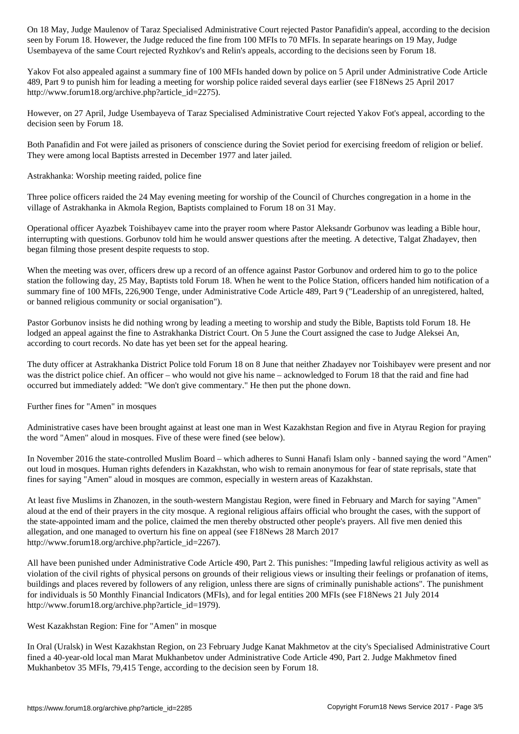seen by Forum 18. However, the Judge reduced the fine from 100 MFIs to 70 MFIs. In separate hearings on 19 May, Judge Usembayeva of the same Court rejected Ryzhkov's and Relin's appeals, according to the decisions seen by Forum 18.

Yakov Fot also appealed against a summary fine of 100 MFIs handed down by police on 5 April under Administrative Code Article 489, Part 9 to punish him for leading a meeting for worship police raided several days earlier (see F18News 25 April 2017 http://www.forum18.org/archive.php?article\_id=2275).

However, on 27 April, Judge Usembayeva of Taraz Specialised Administrative Court rejected Yakov Fot's appeal, according to the decision seen by Forum 18.

Both Panafidin and Fot were jailed as prisoners of conscience during the Soviet period for exercising freedom of religion or belief. They were among local Baptists arrested in December 1977 and later jailed.

Astrakhanka: Worship meeting raided, police fine

Three police officers raided the 24 May evening meeting for worship of the Council of Churches congregation in a home in the village of Astrakhanka in Akmola Region, Baptists complained to Forum 18 on 31 May.

Operational officer Ayazbek Toishibayev came into the prayer room where Pastor Aleksandr Gorbunov was leading a Bible hour, interrupting with questions. Gorbunov told him he would answer questions after the meeting. A detective, Talgat Zhadayev, then began filming those present despite requests to stop.

When the meeting was over, officers drew up a record of an offence against Pastor Gorbunov and ordered him to go to the police station the following day, 25 May, Baptists told Forum 18. When he went to the Police Station, officers handed him notification of a summary fine of 100 MFIs, 226,900 Tenge, under Administrative Code Article 489, Part 9 ("Leadership of an unregistered, halted, or banned religious community or social organisation").

Pastor Gorbunov insists he did nothing wrong by leading a meeting to worship and study the Bible, Baptists told Forum 18. He lodged an appeal against the fine to Astrakhanka District Court. On 5 June the Court assigned the case to Judge Aleksei An, according to court records. No date has yet been set for the appeal hearing.

The duty officer at Astrakhanka District Police told Forum 18 on 8 June that neither Zhadayev nor Toishibayev were present and nor was the district police chief. An officer – who would not give his name – acknowledged to Forum 18 that the raid and fine had occurred but immediately added: "We don't give commentary." He then put the phone down.

Further fines for "Amen" in mosques

Administrative cases have been brought against at least one man in West Kazakhstan Region and five in Atyrau Region for praying the word "Amen" aloud in mosques. Five of these were fined (see below).

In November 2016 the state-controlled Muslim Board – which adheres to Sunni Hanafi Islam only - banned saying the word "Amen" out loud in mosques. Human rights defenders in Kazakhstan, who wish to remain anonymous for fear of state reprisals, state that fines for saying "Amen" aloud in mosques are common, especially in western areas of Kazakhstan.

At least five Muslims in Zhanozen, in the south-western Mangistau Region, were fined in February and March for saying "Amen" aloud at the end of their prayers in the city mosque. A regional religious affairs official who brought the cases, with the support of the state-appointed imam and the police, claimed the men thereby obstructed other people's prayers. All five men denied this allegation, and one managed to overturn his fine on appeal (see F18News 28 March 2017 http://www.forum18.org/archive.php?article\_id=2267).

All have been punished under Administrative Code Article 490, Part 2. This punishes: "Impeding lawful religious activity as well as violation of the civil rights of physical persons on grounds of their religious views or insulting their feelings or profanation of items, buildings and places revered by followers of any religion, unless there are signs of criminally punishable actions". The punishment for individuals is 50 Monthly Financial Indicators (MFIs), and for legal entities 200 MFIs (see F18News 21 July 2014 http://www.forum18.org/archive.php?article\_id=1979).

West Kazakhstan Region: Fine for "Amen" in mosque

In Oral (Uralsk) in West Kazakhstan Region, on 23 February Judge Kanat Makhmetov at the city's Specialised Administrative Court fined a 40-year-old local man Marat Mukhanbetov under Administrative Code Article 490, Part 2. Judge Makhmetov fined Mukhanbetov 35 MFIs, 79,415 Tenge, according to the decision seen by Forum 18.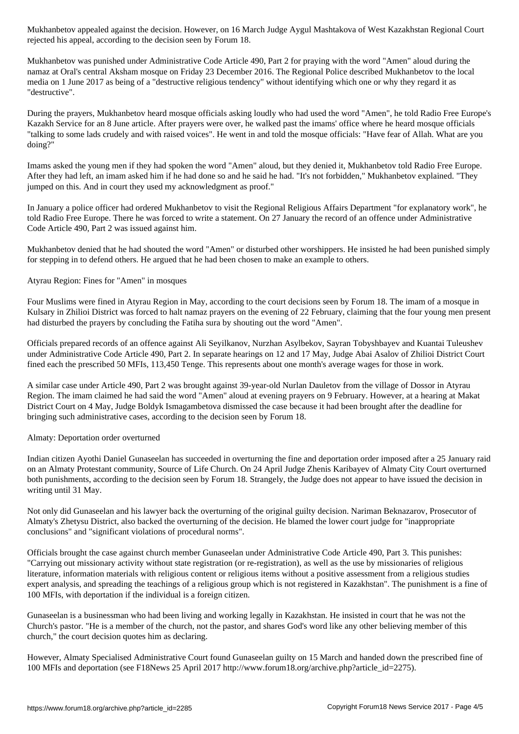rejected his appeal, according to the decision seen by Forum 18.

Mukhanbetov was punished under Administrative Code Article 490, Part 2 for praying with the word "Amen" aloud during the namaz at Oral's central Aksham mosque on Friday 23 December 2016. The Regional Police described Mukhanbetov to the local media on 1 June 2017 as being of a "destructive religious tendency" without identifying which one or why they regard it as "destructive".

During the prayers, Mukhanbetov heard mosque officials asking loudly who had used the word "Amen", he told Radio Free Europe's Kazakh Service for an 8 June article. After prayers were over, he walked past the imams' office where he heard mosque officials "talking to some lads crudely and with raised voices". He went in and told the mosque officials: "Have fear of Allah. What are you doing?"

Imams asked the young men if they had spoken the word "Amen" aloud, but they denied it, Mukhanbetov told Radio Free Europe. After they had left, an imam asked him if he had done so and he said he had. "It's not forbidden," Mukhanbetov explained. "They jumped on this. And in court they used my acknowledgment as proof."

In January a police officer had ordered Mukhanbetov to visit the Regional Religious Affairs Department "for explanatory work", he told Radio Free Europe. There he was forced to write a statement. On 27 January the record of an offence under Administrative Code Article 490, Part 2 was issued against him.

Mukhanbetov denied that he had shouted the word "Amen" or disturbed other worshippers. He insisted he had been punished simply for stepping in to defend others. He argued that he had been chosen to make an example to others.

## Atyrau Region: Fines for "Amen" in mosques

Four Muslims were fined in Atyrau Region in May, according to the court decisions seen by Forum 18. The imam of a mosque in Kulsary in Zhilioi District was forced to halt namaz prayers on the evening of 22 February, claiming that the four young men present had disturbed the prayers by concluding the Fatiha sura by shouting out the word "Amen".

Officials prepared records of an offence against Ali Seyilkanov, Nurzhan Asylbekov, Sayran Tobyshbayev and Kuantai Tuleushev under Administrative Code Article 490, Part 2. In separate hearings on 12 and 17 May, Judge Abai Asalov of Zhilioi District Court fined each the prescribed 50 MFIs, 113,450 Tenge. This represents about one month's average wages for those in work.

A similar case under Article 490, Part 2 was brought against 39-year-old Nurlan Dauletov from the village of Dossor in Atyrau Region. The imam claimed he had said the word "Amen" aloud at evening prayers on 9 February. However, at a hearing at Makat District Court on 4 May, Judge Boldyk Ismagambetova dismissed the case because it had been brought after the deadline for bringing such administrative cases, according to the decision seen by Forum 18.

## Almaty: Deportation order overturned

Indian citizen Ayothi Daniel Gunaseelan has succeeded in overturning the fine and deportation order imposed after a 25 January raid on an Almaty Protestant community, Source of Life Church. On 24 April Judge Zhenis Karibayev of Almaty City Court overturned both punishments, according to the decision seen by Forum 18. Strangely, the Judge does not appear to have issued the decision in writing until 31 May.

Not only did Gunaseelan and his lawyer back the overturning of the original guilty decision. Nariman Beknazarov, Prosecutor of Almaty's Zhetysu District, also backed the overturning of the decision. He blamed the lower court judge for "inappropriate conclusions" and "significant violations of procedural norms".

Officials brought the case against church member Gunaseelan under Administrative Code Article 490, Part 3. This punishes: "Carrying out missionary activity without state registration (or re-registration), as well as the use by missionaries of religious literature, information materials with religious content or religious items without a positive assessment from a religious studies expert analysis, and spreading the teachings of a religious group which is not registered in Kazakhstan". The punishment is a fine of 100 MFIs, with deportation if the individual is a foreign citizen.

Gunaseelan is a businessman who had been living and working legally in Kazakhstan. He insisted in court that he was not the Church's pastor. "He is a member of the church, not the pastor, and shares God's word like any other believing member of this church," the court decision quotes him as declaring.

However, Almaty Specialised Administrative Court found Gunaseelan guilty on 15 March and handed down the prescribed fine of 100 MFIs and deportation (see F18News 25 April 2017 http://www.forum18.org/archive.php?article\_id=2275).